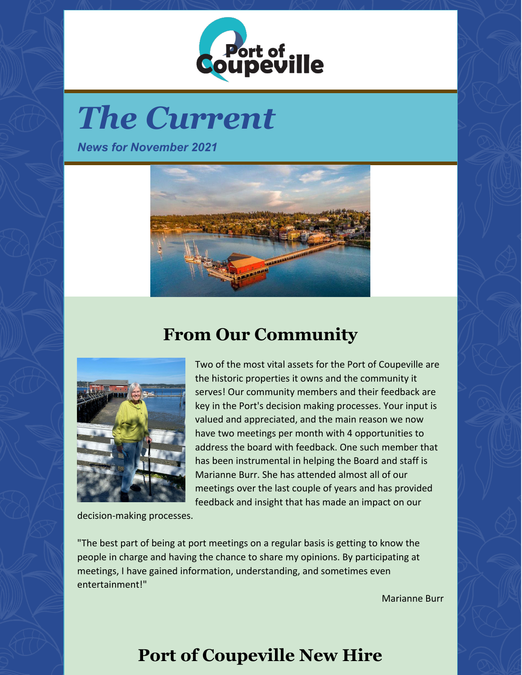

# *The Current*

*News for November 2021*



## **From Our Community**



Two of the most vital assets for the Port of Coupeville are the historic properties it owns and the community it serves! Our community members and their feedback are key in the Port's decision making processes. Your input is valued and appreciated, and the main reason we now have two meetings per month with 4 opportunities to address the board with feedback. One such member that has been instrumental in helping the Board and staff is Marianne Burr. She has attended almost all of our meetings over the last couple of years and has provided feedback and insight that has made an impact on our

decision-making processes.

"The best part of being at port meetings on a regular basis is getting to know the people in charge and having the chance to share my opinions. By participating at meetings, I have gained information, understanding, and sometimes even entertainment!"

Marianne Burr

# **Port of Coupeville New Hire**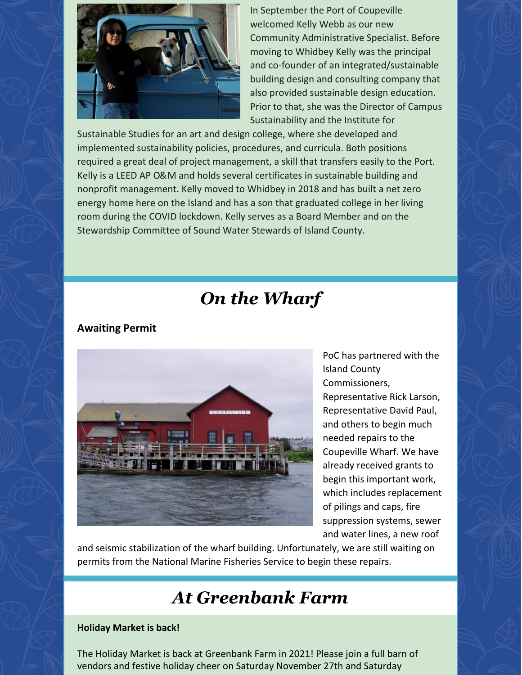

In September the Port of Coupeville welcomed Kelly Webb as our new Community Administrative Specialist. Before moving to Whidbey Kelly was the principal and co-founder of an integrated/sustainable building design and consulting company that also provided sustainable design education. Prior to that, she was the Director of Campus Sustainability and the Institute for

Sustainable Studies for an art and design college, where she developed and implemented sustainability policies, procedures, and curricula. Both positions required a great deal of project management, a skill that transfers easily to the Port. Kelly is a LEED AP O&M and holds several certificates in sustainable building and nonprofit management. Kelly moved to Whidbey in 2018 and has built a net zero energy home here on the Island and has a son that graduated college in her living room during the COVID lockdown. Kelly serves as a Board Member and on the Stewardship Committee of Sound Water Stewards of Island County.

### *On the Wharf*

#### **Awaiting Permit**



PoC has partnered with the Island County Commissioners, Representative Rick Larson, Representative David Paul, and others to begin much needed repairs to the Coupeville Wharf. We have already received grants to begin this important work, which includes replacement of pilings and caps, fire suppression systems, sewer and water lines, a new roof

and seismic stabilization of the wharf building. Unfortunately, we are still waiting on permits from the National Marine Fisheries Service to begin these repairs.

### *At Greenbank Farm*

#### **Holiday Market is back!**

The Holiday Market is back at Greenbank Farm in 2021! Please join a full barn of vendors and festive holiday cheer on Saturday November 27th and Saturday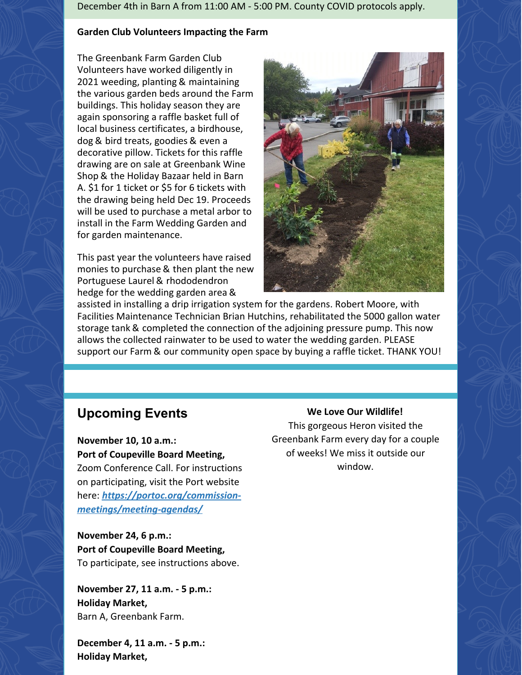December 4th in Barn A from 11:00 AM - 5:00 PM. County COVID protocols apply.

#### **Garden Club Volunteers Impacting the Farm**

The Greenbank Farm Garden Club Volunteers have worked diligently in 2021 weeding, planting & maintaining the various garden beds around the Farm buildings. This holiday season they are again sponsoring a raffle basket full of local business certificates, a birdhouse, dog & bird treats, goodies & even a decorative pillow. Tickets for this raffle drawing are on sale at Greenbank Wine Shop & the Holiday Bazaar held in Barn A. \$1 for 1 ticket or \$5 for 6 tickets with the drawing being held Dec 19. Proceeds will be used to purchase a metal arbor to install in the Farm Wedding Garden and for garden maintenance.

This past year the volunteers have raised monies to purchase & then plant the new Portuguese Laurel & rhododendron hedge for the wedding garden area &



assisted in installing a drip irrigation system for the gardens. Robert Moore, with Facilities Maintenance Technician Brian Hutchins, rehabilitated the 5000 gallon water storage tank & completed the connection of the adjoining pressure pump. This now allows the collected rainwater to be used to water the wedding garden. PLEASE support our Farm & our community open space by buying a raffle ticket. THANK YOU!

### **Upcoming Events**

**November 10, 10 a.m.: Port of Coupeville Board Meeting,** Zoom Conference Call. For instructions on participating, visit the Port website here: *[https://portoc.org/commission](https://portoc.org/commission-meetings/meeting-agendas/)meetings/meeting-agendas/*

**November 24, 6 p.m.: Port of Coupeville Board Meeting,** To participate, see instructions above.

**November 27, 11 a.m. - 5 p.m.: Holiday Market,** Barn A, Greenbank Farm.

**December 4, 11 a.m. - 5 p.m.: Holiday Market,**

#### **We Love Our Wildlife!**

This gorgeous Heron visited the Greenbank Farm every day for a couple of weeks! We miss it outside our window.